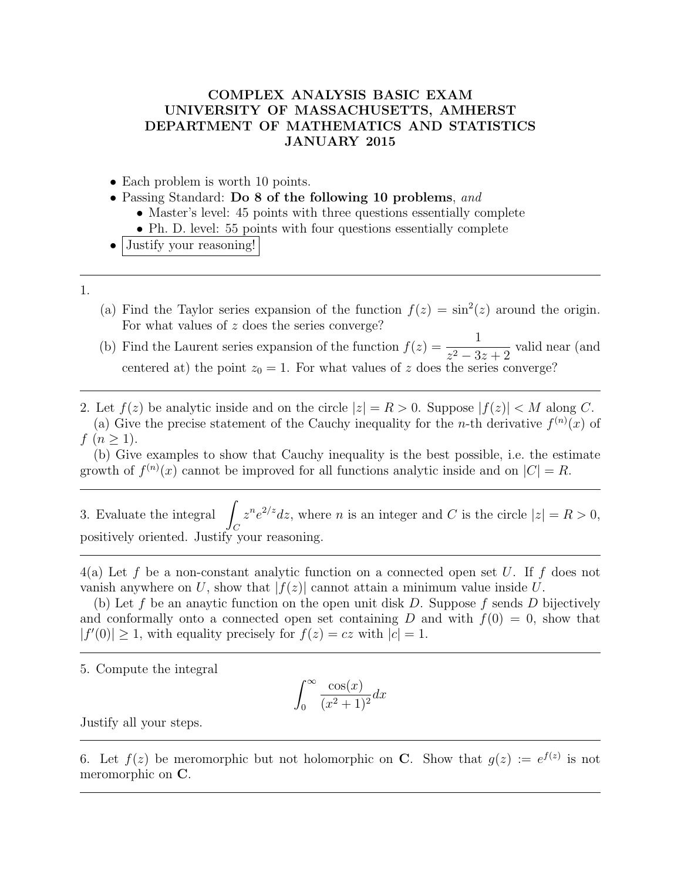## COMPLEX ANALYSIS BASIC EXAM UNIVERSITY OF MASSACHUSETTS, AMHERST DEPARTMENT OF MATHEMATICS AND STATISTICS JANUARY 2015

- Each problem is worth 10 points.
- Passing Standard: Do 8 of the following 10 problems, and
	- Master's level: 45 points with three questions essentially complete
	- Ph. D. level: 55 points with four questions essentially complete
- Justify your reasoning!
- 1.
- (a) Find the Taylor series expansion of the function  $f(z) = \sin^2(z)$  around the origin. For what values of  $z$  does the series converge?
- (b) Find the Laurent series expansion of the function  $f(z) = \frac{1}{z-2}$  $\frac{1}{z^2-3z+2}$  valid near (and centered at) the point  $z_0 = 1$ . For what values of z does the series converge?

2. Let  $f(z)$  be analytic inside and on the circle  $|z| = R > 0$ . Suppose  $|f(z)| < M$  along C. (a) Give the precise statement of the Cauchy inequality for the *n*-th derivative  $f^{(n)}(x)$  of  $f (n \ge 1).$ 

(b) Give examples to show that Cauchy inequality is the best possible, i.e. the estimate growth of  $f^{(n)}(x)$  cannot be improved for all functions analytic inside and on  $|C| = R$ .

3. Evaluate the integral  $\Box$  $\mathcal{C}_{0}^{(n)}$  $z^n e^{2/z} dz$ , where *n* is an integer and *C* is the circle  $|z| = R > 0$ , positively oriented. Justify your reasoning.

 $4(a)$  Let f be a non-constant analytic function on a connected open set U. If f does not vanish anywhere on U, show that  $|f(z)|$  cannot attain a minimum value inside U.

(b) Let f be an anaytic function on the open unit disk D. Suppose f sends D bijectively and conformally onto a connected open set containing D and with  $f(0) = 0$ , show that  $|f'(0)| \geq 1$ , with equality precisely for  $f(z) = cz$  with  $|c| = 1$ .

5. Compute the integral

$$
\int_0^\infty \frac{\cos(x)}{(x^2+1)^2} dx
$$

Justify all your steps.

6. Let  $f(z)$  be meromorphic but not holomorphic on **C**. Show that  $g(z) := e^{f(z)}$  is not meromorphic on C.